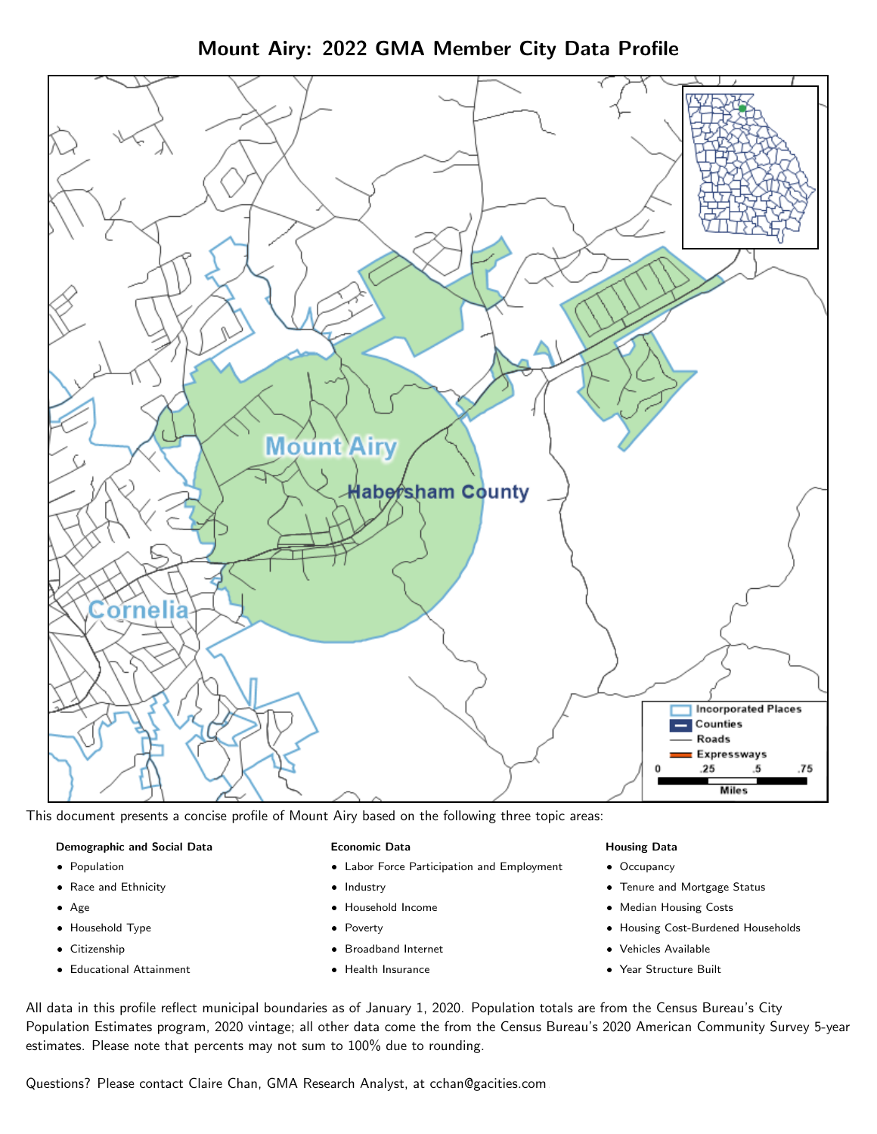Mount Airy: 2022 GMA Member City Data Profile



This document presents a concise profile of Mount Airy based on the following three topic areas:

## Demographic and Social Data

- **•** Population
- Race and Ethnicity
- Age
- Household Type
- **Citizenship**
- Educational Attainment

# Economic Data

- Labor Force Participation and Employment
- Industry
- Household Income
- Poverty
- Broadband Internet
- Health Insurance

## Housing Data

- Occupancy
- Tenure and Mortgage Status
- Median Housing Costs
- Housing Cost-Burdened Households
- Vehicles Available
- Year Structure Built

All data in this profile reflect municipal boundaries as of January 1, 2020. Population totals are from the Census Bureau's City Population Estimates program, 2020 vintage; all other data come the from the Census Bureau's 2020 American Community Survey 5-year estimates. Please note that percents may not sum to 100% due to rounding.

Questions? Please contact Claire Chan, GMA Research Analyst, at [cchan@gacities.com.](mailto:cchan@gacities.com)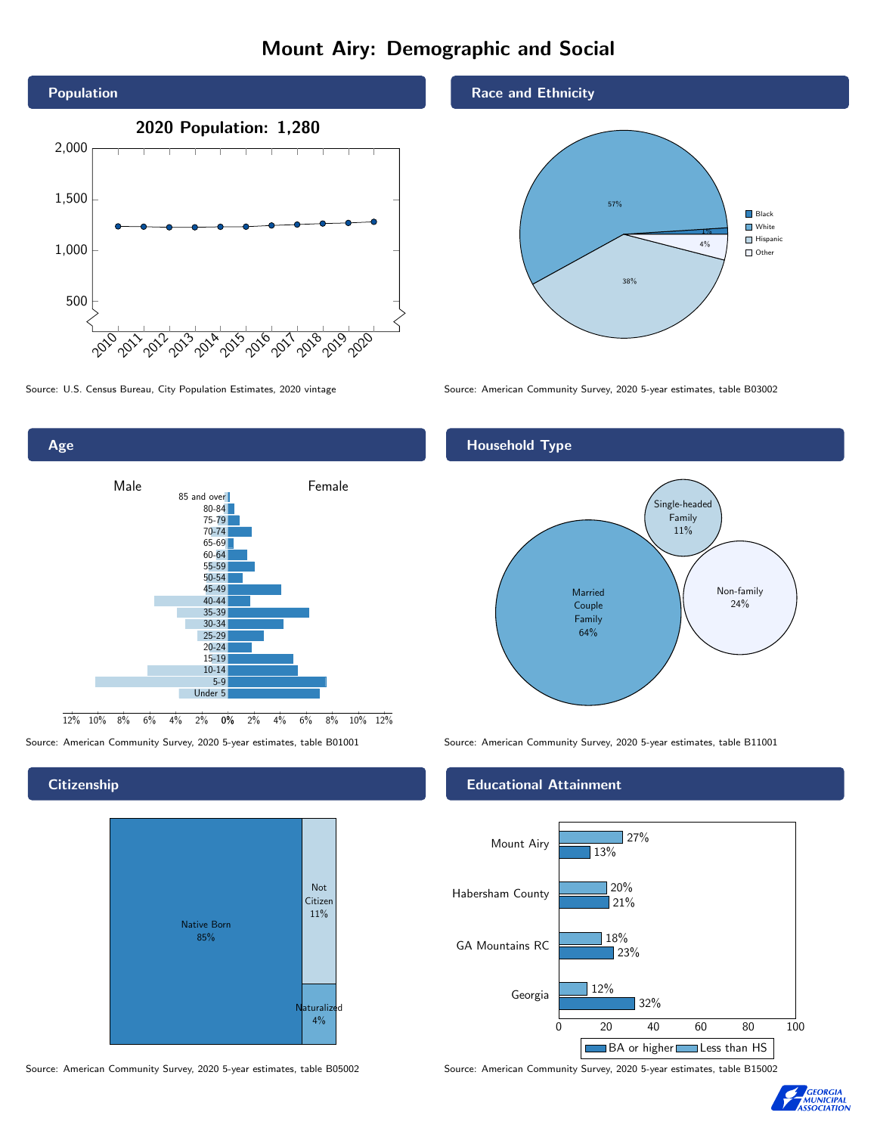# Mount Airy: Demographic and Social





Source: American Community Survey, 2020 5-year estimates, table B01001 Source: American Community Survey, 2020 5-year estimates, table B11001

# **Citizenship**



Source: American Community Survey, 2020 5-year estimates, table B05002 Source: American Community Survey, 2020 5-year estimates, table B15002

# Race and Ethnicity

![](_page_1_Figure_9.jpeg)

Source: U.S. Census Bureau, City Population Estimates, 2020 vintage Source: American Community Survey, 2020 5-year estimates, table B03002

# Household Type

![](_page_1_Figure_12.jpeg)

# Educational Attainment

![](_page_1_Figure_15.jpeg)

![](_page_1_Picture_17.jpeg)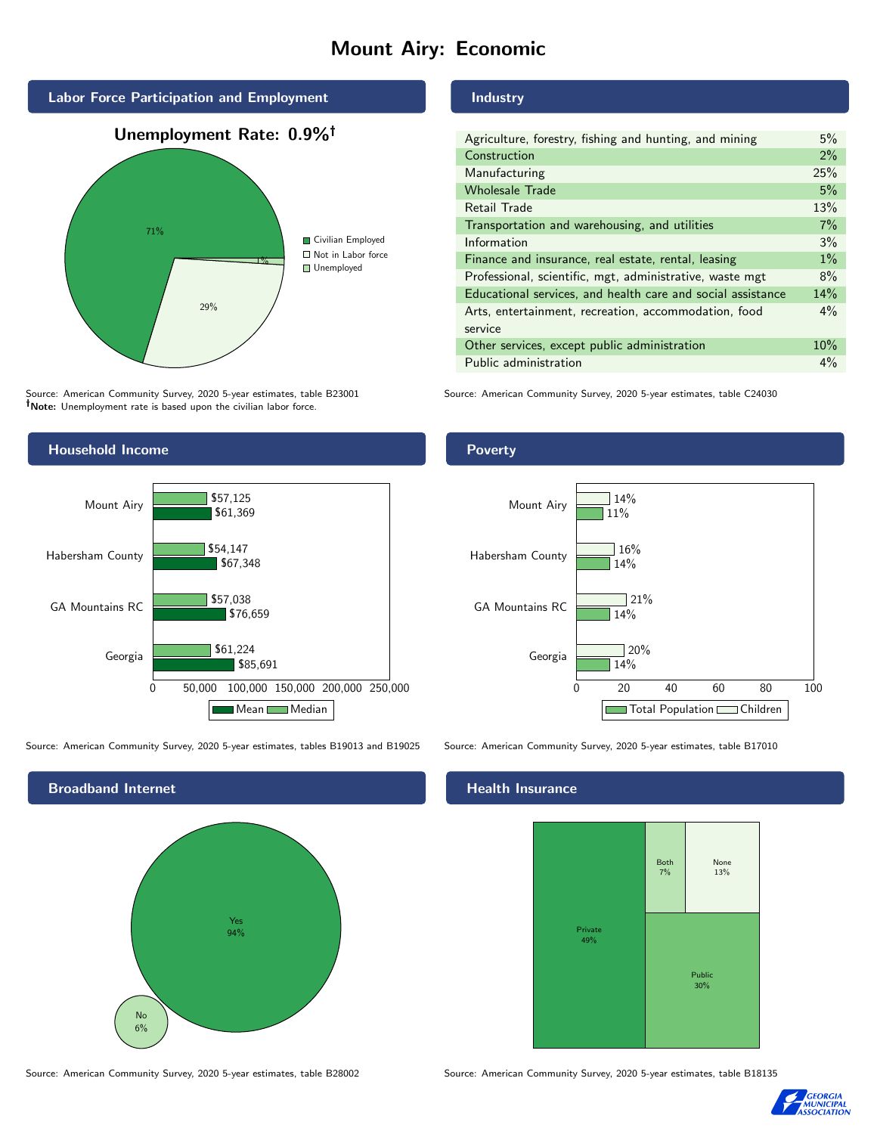# Mount Airy: Economic

![](_page_2_Figure_1.jpeg)

Source: American Community Survey, 2020 5-year estimates, table B23001 Note: Unemployment rate is based upon the civilian labor force.

![](_page_2_Figure_3.jpeg)

Source: American Community Survey, 2020 5-year estimates, tables B19013 and B19025 Source: American Community Survey, 2020 5-year estimates, table B17010

![](_page_2_Figure_5.jpeg)

### Source: American Community Survey, 2020 5-year estimates, table B28002 Source: American Community Survey, 2020 5-year estimates, table B18135

# Industry

| Agriculture, forestry, fishing and hunting, and mining      | 5%    |
|-------------------------------------------------------------|-------|
| Construction                                                | 2%    |
| Manufacturing                                               | 25%   |
| <b>Wholesale Trade</b>                                      | 5%    |
| Retail Trade                                                | 13%   |
| Transportation and warehousing, and utilities               | $7\%$ |
| Information                                                 | 3%    |
| Finance and insurance, real estate, rental, leasing         | $1\%$ |
| Professional, scientific, mgt, administrative, waste mgt    | 8%    |
| Educational services, and health care and social assistance | 14%   |
| Arts, entertainment, recreation, accommodation, food        | $4\%$ |
| service                                                     |       |
| Other services, except public administration                | 10%   |
| Public administration                                       | $4\%$ |

Source: American Community Survey, 2020 5-year estimates, table C24030

# Poverty

![](_page_2_Figure_11.jpeg)

## Health Insurance

![](_page_2_Figure_14.jpeg)

![](_page_2_Picture_16.jpeg)